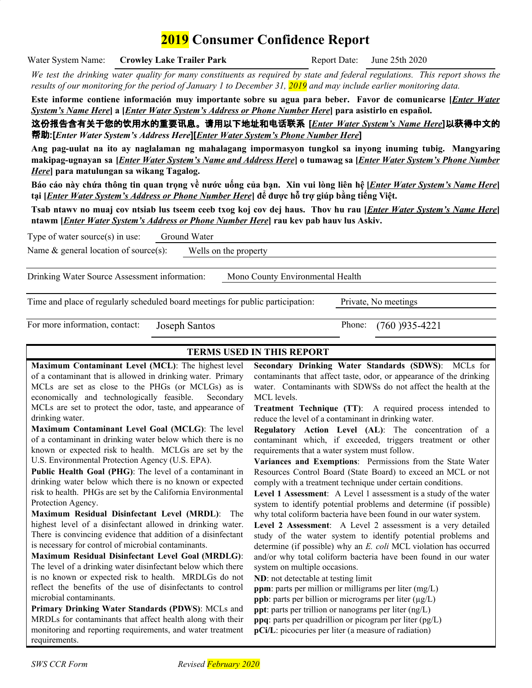# **2019 Consumer Confidence Report**

Water System Name: **Crowley Lake Trailer Park** Report Date: June 25th 2020

We test the drinking water quality for many constituents as required by state and federal regulations. This report shows the *results of our monitoring for the period of January 1 to December 31, 2019 and may include earlier monitoring data.*

Este informe contiene información muy importante sobre su agua para beber. Favor de comunicarse [*Enter Water System's Name Here***] a [***Enter Water System's Address or Phone Number Here***] para asistirlo en español.**

这份报告含有关于您的饮用水的重要讯息。请用以下地址和电话联系 **[***Enter Water System's Name Here***]**以获得中文的 帮助**:[***Enter Water System's Address Here***][***Enter Water System's Phone Number Here***]**

**Ang pag-uulat na ito ay naglalaman ng mahalagang impormasyon tungkol sa inyong inuming tubig. Mangyaring** makipag-ugnayan sa [*Enter Water System's Name and Address Here*] o tumawag sa [*Enter Water System's Phone Number Here***] para matulungan sa wikang Tagalog.**

Báo cáo này chứa thông tin quan trọng về nước uống của bạn. Xin vui lòng liên hệ [*Enter Water System's Name Here*] **tại [** *Enter Water System's Address or Phone Number Here***] để được hỗ trợ giúp bằng tiếng Việt.**

Tsab ntawy no muaj cov ntsiab lus tseem ceeb txog koj cov dej haus. Thov hu rau [*Enter Water System's Name Here*] **ntawm [***Enter Water System's Address or Phone Number Here***] rau kev pab hauv lus Askiv.**

| Type of water source(s) in use:                                                | Ground Water  |                                  |                           |
|--------------------------------------------------------------------------------|---------------|----------------------------------|---------------------------|
| Name $\&$ general location of source(s):                                       |               | Wells on the property            |                           |
| Drinking Water Source Assessment information:                                  |               | Mono County Environmental Health |                           |
| Time and place of regularly scheduled board meetings for public participation. |               |                                  | Private, No meetings      |
| For more information, contact:                                                 | Joseph Santos |                                  | Phone:<br>$(760)935-4221$ |

### **TERMS USED IN THIS REPORT**

**Maximum Contaminant Level (MCL)**: The highest level of a contaminant that is allowed in drinking water. Primary MCLs are set as close to the PHGs (or MCLGs) as is economically and technologically feasible. Secondary MCLs are set to protect the odor, taste, and appearance of drinking water.

**Maximum Contaminant Level Goal (MCLG)**: The level of a contaminant in drinking water below which there is no known or expected risk to health. MCLGs are set by the U.S. Environmental Protection Agency (U.S. EPA).

**Public Health Goal (PHG)**: The level of a contaminant in drinking water below which there is no known or expected risk to health. PHGs are set by the California Environmental Protection Agency.

**Maximum Residual Disinfectant Level (MRDL)**: The highest level of a disinfectant allowed in drinking water. There is convincing evidence that addition of a disinfectant is necessary for control of microbial contaminants.

**Maximum Residual Disinfectant Level Goal (MRDLG)**: The level of a drinking water disinfectant below which there is no known or expected risk to health. MRDLGs do not reflect the benefits of the use of disinfectants to control microbial contaminants.

**Primary Drinking Water Standards (PDWS)**: MCLs and MRDLs for contaminants that affect health along with their monitoring and reporting requirements, and water treatment requirements.

**Secondary Drinking Water Standards (SDWS)**: MCLs for contaminants that affect taste, odor, or appearance of the drinking water. Contaminants with SDWSs do not affect the health at the MCL levels.

**Treatment Technique (TT)**: A required process intended to reduce the level of a contaminant in drinking water.

**Regulatory Action Level (AL)**: The concentration of a contaminant which, if exceeded, triggers treatment or other requirements that a water system must follow.

**Variances and Exemptions**: Permissions from the State Water Resources Control Board (State Board) to exceed an MCL or not comply with a treatment technique under certain conditions.

**Level 1 Assessment**: A Level 1 assessment is a study of the water system to identify potential problems and determine (if possible) why total coliform bacteria have been found in our water system.

**Level 2 Assessment**: A Level 2 assessment is a very detailed study of the water system to identify potential problems and determine (if possible) why an *E. coli* MCL violation has occurred and/or why total coliform bacteria have been found in our water system on multiple occasions.

**ND**: not detectable at testing limit

**ppm**: parts per million or milligrams per liter (mg/L)

**ppb**: parts per billion or micrograms per liter  $(\mu g/L)$ 

**ppt**: parts per trillion or nanograms per liter (ng/L)

**ppq**: parts per quadrillion or picogram per liter (pg/L)

**pCi/L**: picocuries per liter (a measure of radiation)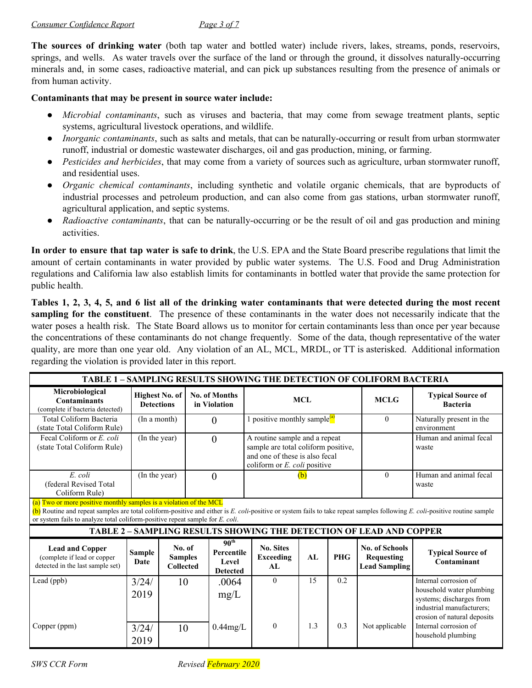**The sources of drinking water** (both tap water and bottled water) include rivers, lakes, streams, ponds, reservoirs, springs, and wells. As water travels over the surface of the land or through the ground, it dissolves naturally-occurring minerals and, in some cases, radioactive material, and can pick up substances resulting from the presence of animals or from human activity.

### **Contaminants that may be present in source water include:**

- *Microbial contaminants*, such as viruses and bacteria, that may come from sewage treatment plants, septic systems, agricultural livestock operations, and wildlife.
- *Inorganic contaminants*, such as salts and metals, that can be naturally-occurring or result from urban stormwater runoff, industrial or domestic wastewater discharges, oil and gas production, mining, or farming.
- *Pesticides and herbicides*, that may come from a variety of sources such as agriculture, urban stormwater runoff, and residential uses.
- *Organic chemical contaminants*, including synthetic and volatile organic chemicals, that are byproducts of industrial processes and petroleum production, and can also come from gas stations, urban stormwater runoff, agricultural application, and septic systems.
- *Radioactive contaminants*, that can be naturally-occurring or be the result of oil and gas production and mining activities.

**In order to ensure that tap water is safe to drink**, the U.S. EPA and the State Board prescribe regulations that limit the amount of certain contaminants in water provided by public water systems. The U.S. Food and Drug Administration regulations and California law also establish limits for contaminants in bottled water that provide the same protection for public health.

Tables 1, 2, 3, 4, 5, and 6 list all of the drinking water contaminants that were detected during the most recent **sampling** for the constituent. The presence of these contaminants in the water does not necessarily indicate that the water poses a health risk. The State Board allows us to monitor for certain contaminants less than once per year because the concentrations of these contaminants do not change frequently. Some of the data, though representative of the water quality, are more than one year old. Any violation of an AL, MCL, MRDL, or TT is asterisked. Additional information regarding the violation is provided later in this report.

| TABLE 1 - SAMPLING RESULTS SHOWING THE DETECTION OF COLIFORM BACTERIA                                                                                                                                                                                                                                                             |                                            |                                              |                                                                                                                    |                                                            |                                            |     |             |                                                                            |                                                                                                                                           |
|-----------------------------------------------------------------------------------------------------------------------------------------------------------------------------------------------------------------------------------------------------------------------------------------------------------------------------------|--------------------------------------------|----------------------------------------------|--------------------------------------------------------------------------------------------------------------------|------------------------------------------------------------|--------------------------------------------|-----|-------------|----------------------------------------------------------------------------|-------------------------------------------------------------------------------------------------------------------------------------------|
| Microbiological<br><b>Contaminants</b><br>(complete if bacteria detected)                                                                                                                                                                                                                                                         | <b>Highest No. of</b><br><b>Detections</b> |                                              |                                                                                                                    | <b>No. of Months</b><br>in Violation                       | <b>MCL</b>                                 |     | <b>MCLG</b> | <b>Typical Source of</b><br><b>Bacteria</b>                                |                                                                                                                                           |
| <b>Total Coliform Bacteria</b><br>(state Total Coliform Rule)                                                                                                                                                                                                                                                                     | (In a month)                               |                                              | $\theta$                                                                                                           |                                                            | 1 positive monthly sample $\binom{a}{b}$   |     |             | $\theta$                                                                   | Naturally present in the<br>environment                                                                                                   |
| Fecal Coliform or E. coli<br>(state Total Coliform Rule)                                                                                                                                                                                                                                                                          | (In the year)                              |                                              | A routine sample and a repeat<br>$\theta$<br>sample are total coliform positive,<br>and one of these is also fecal |                                                            | coliform or E. coli positive               |     |             | Human and animal fecal<br>waste                                            |                                                                                                                                           |
| E. coli<br>(federal Revised Total<br>Coliform Rule)                                                                                                                                                                                                                                                                               | (In the year)                              |                                              |                                                                                                                    | $\theta$                                                   |                                            | (b) |             | $\theta$                                                                   | Human and animal fecal<br>waste                                                                                                           |
| (a) Two or more positive monthly samples is a violation of the MCL<br>(b) Routine and repeat samples are total coliform-positive and either is E. coli-positive or system fails to take repeat samples following E. coli-positive routine sample<br>or system fails to analyze total coliform-positive repeat sample for E. coli. |                                            |                                              |                                                                                                                    |                                                            |                                            |     |             |                                                                            |                                                                                                                                           |
|                                                                                                                                                                                                                                                                                                                                   |                                            |                                              |                                                                                                                    |                                                            |                                            |     |             | <b>TABLE 2 - SAMPLING RESULTS SHOWING THE DETECTION OF LEAD AND COPPER</b> |                                                                                                                                           |
| <b>Lead and Copper</b><br>(complete if lead or copper<br>detected in the last sample set)                                                                                                                                                                                                                                         | <b>Sample</b><br>Date                      | No. of<br><b>Samples</b><br><b>Collected</b> |                                                                                                                    | 90 <sup>th</sup><br>Percentile<br>Level<br><b>Detected</b> | <b>No. Sites</b><br><b>Exceeding</b><br>AL | AI  | <b>PHG</b>  | No. of Schools<br><b>Requesting</b><br><b>Lead Sampling</b>                | <b>Typical Source of</b><br>Contaminant                                                                                                   |
| Lead (ppb)                                                                                                                                                                                                                                                                                                                        | 3/24/<br>2019                              | 10                                           |                                                                                                                    | .0064<br>mg/L                                              | $\theta$                                   | 15  | 0.2         |                                                                            | Internal corrosion of<br>household water plumbing<br>systems; discharges from<br>industrial manufacturers;<br>erosion of natural deposits |
| Copper (ppm)                                                                                                                                                                                                                                                                                                                      | 3/24/<br>2019                              | 10                                           |                                                                                                                    | $0.44$ mg/L                                                | $\Omega$                                   | 1.3 | 0.3         | Not applicable                                                             | Internal corrosion of<br>household plumbing                                                                                               |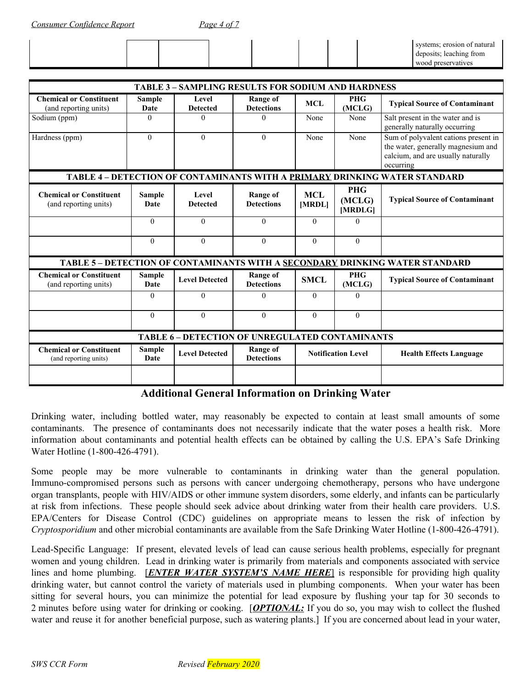*Consumer Confidence Report Page 4 of 7*

|  |  |  |  | systems; erosion of natural |
|--|--|--|--|-----------------------------|
|  |  |  |  | deposits; leaching from     |
|  |  |  |  | wood preservatives          |

|                                                         | <b>TABLE 3 - SAMPLING RESULTS FOR SODIUM AND HARDNESS</b> |                          |                                      |                           |                                 |                                                                                                                               |  |  |  |
|---------------------------------------------------------|-----------------------------------------------------------|--------------------------|--------------------------------------|---------------------------|---------------------------------|-------------------------------------------------------------------------------------------------------------------------------|--|--|--|
| <b>Chemical or Constituent</b><br>(and reporting units) | Sample<br>Date                                            | Level<br><b>Detected</b> | Range of<br><b>Detections</b>        | <b>MCL</b>                | <b>PHG</b><br>(MCLG)            | <b>Typical Source of Contaminant</b>                                                                                          |  |  |  |
| Sodium (ppm)                                            | $\Omega$                                                  | $\theta$                 | 0                                    | None                      | None                            | Salt present in the water and is<br>generally naturally occurring                                                             |  |  |  |
| Hardness (ppm)                                          | $\theta$                                                  | $\theta$                 | $\theta$                             | None                      | None                            | Sum of polyvalent cations present in<br>the water, generally magnesium and<br>calcium, and are usually naturally<br>occurring |  |  |  |
|                                                         |                                                           |                          |                                      |                           |                                 | TABLE 4 - DETECTION OF CONTAMINANTS WITH A PRIMARY DRINKING WATER STANDARD                                                    |  |  |  |
| <b>Chemical or Constituent</b><br>(and reporting units) | <b>Sample</b><br>Date                                     | Level<br><b>Detected</b> | <b>Range of</b><br><b>Detections</b> | <b>MCL</b><br>[MRDL]      | <b>PHG</b><br>(MCLG)<br>[MRDLG] | <b>Typical Source of Contaminant</b>                                                                                          |  |  |  |
|                                                         | $\Omega$                                                  | $\Omega$                 | $\Omega$                             | $\Omega$                  | $\Omega$                        |                                                                                                                               |  |  |  |
|                                                         | $\Omega$                                                  | $\Omega$                 | $\Omega$                             | $\Omega$                  | $\Omega$                        |                                                                                                                               |  |  |  |
|                                                         |                                                           |                          |                                      |                           |                                 | TABLE 5 - DETECTION OF CONTAMINANTS WITH A SECONDARY DRINKING WATER STANDARD                                                  |  |  |  |
| <b>Chemical or Constituent</b><br>(and reporting units) | <b>Sample</b><br>Date                                     | <b>Level Detected</b>    | <b>Range of</b><br><b>Detections</b> | <b>SMCL</b>               | <b>PHG</b><br>(MCLG)            | <b>Typical Source of Contaminant</b>                                                                                          |  |  |  |
|                                                         | $\Omega$                                                  | $\Omega$                 | $\Omega$                             | $\Omega$                  | $\Omega$                        |                                                                                                                               |  |  |  |
|                                                         | $\theta$                                                  | $\theta$                 | $\theta$                             | $\Omega$                  | $\theta$                        |                                                                                                                               |  |  |  |
| <b>TABLE 6 - DETECTION OF UNREGULATED CONTAMINANTS</b>  |                                                           |                          |                                      |                           |                                 |                                                                                                                               |  |  |  |
| <b>Chemical or Constituent</b><br>(and reporting units) | <b>Sample</b><br>Date                                     | <b>Level Detected</b>    | <b>Range of</b><br><b>Detections</b> | <b>Notification Level</b> |                                 | <b>Health Effects Language</b>                                                                                                |  |  |  |
|                                                         |                                                           |                          |                                      |                           |                                 |                                                                                                                               |  |  |  |

### **Additional General Information on Drinking Water**

Drinking water, including bottled water, may reasonably be expected to contain at least small amounts of some contaminants. The presence of contaminants does not necessarily indicate that the water poses a health risk. More information about contaminants and potential health effects can be obtained by calling the U.S. EPA's Safe Drinking Water Hotline (1-800-426-4791).

Some people may be more vulnerable to contaminants in drinking water than the general population. Immuno-compromised persons such as persons with cancer undergoing chemotherapy, persons who have undergone organ transplants, people with HIV/AIDS or other immune system disorders, some elderly, and infants can be particularly at risk from infections. These people should seek advice about drinking water from their health care providers. U.S. EPA/Centers for Disease Control (CDC) guidelines on appropriate means to lessen the risk of infection by *Cryptosporidium* and other microbial contaminants are available from the Safe Drinking Water Hotline (1-800-426-4791).

Lead-Specific Language: If present, elevated levels of lead can cause serious health problems, especially for pregnant women and young children. Lead in drinking water is primarily from materials and components associated with service lines and home plumbing. [*ENTER WATER SYSTEM'S NAME HERE*] is responsible for providing high quality drinking water, but cannot control the variety of materials used in plumbing components. When your water has been sitting for several hours, you can minimize the potential for lead exposure by flushing your tap for 30 seconds to 2 minutes before using water for drinking or cooking. [*OPTIONAL:* If you do so, you may wish to collect the flushed water and reuse it for another beneficial purpose, such as watering plants.] If you are concerned about lead in your water,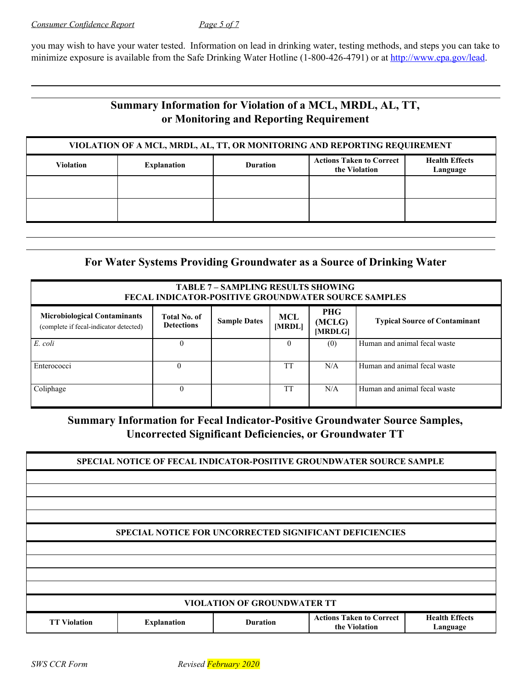you may wish to have your water tested. Information on lead in drinking water, testing methods, and steps you can take to minimize exposure is available from the Safe Drinking Water Hotline (1-800-426-4791) or at <http://www.epa.gov/lead>.

# **Summary Information for Violation of a MCL, MRDL, AL, TT, or Monitoring and Reporting Requirement**

| VIOLATION OF A MCL, MRDL, AL, TT, OR MONITORING AND REPORTING REQUIREMENT |                    |                 |                                                  |                                   |  |  |  |
|---------------------------------------------------------------------------|--------------------|-----------------|--------------------------------------------------|-----------------------------------|--|--|--|
| <b>Violation</b>                                                          | <b>Explanation</b> | <b>Duration</b> | <b>Actions Taken to Correct</b><br>the Violation | <b>Health Effects</b><br>Language |  |  |  |
|                                                                           |                    |                 |                                                  |                                   |  |  |  |
|                                                                           |                    |                 |                                                  |                                   |  |  |  |

# **For Water Systems Providing Groundwater as a Source of Drinking Water**

| <b>TABLE 7 - SAMPLING RESULTS SHOWING</b><br><b>FECAL INDICATOR-POSITIVE GROUNDWATER SOURCE SAMPLES</b>                                                                                                                               |          |  |           |     |                              |  |  |  |
|---------------------------------------------------------------------------------------------------------------------------------------------------------------------------------------------------------------------------------------|----------|--|-----------|-----|------------------------------|--|--|--|
| PHG<br><b>Microbiological Contaminants</b><br><b>Total No. of</b><br>MCL<br><b>Sample Dates</b><br><b>Typical Source of Contaminant</b><br>(MCLG)<br><b>Detections</b><br>[MRDL]<br>(complete if fecal-indicator detected)<br>[MRDLG] |          |  |           |     |                              |  |  |  |
| E. coli                                                                                                                                                                                                                               | $\theta$ |  | $\Omega$  | (0) | Human and animal fecal waste |  |  |  |
| Enterococci                                                                                                                                                                                                                           | $\Omega$ |  | <b>TT</b> | N/A | Human and animal fecal waste |  |  |  |
| Coliphage                                                                                                                                                                                                                             | $\theta$ |  | <b>TT</b> | N/A | Human and animal fecal waste |  |  |  |

# **Summary Information for Fecal Indicator-Positive Groundwater Source Samples, Uncorrected Significant Deficiencies, or Groundwater TT**

|                                    |                                                                |                 | SPECIAL NOTICE OF FECAL INDICATOR-POSITIVE GROUNDWATER SOURCE SAMPLE |                                   |  |  |
|------------------------------------|----------------------------------------------------------------|-----------------|----------------------------------------------------------------------|-----------------------------------|--|--|
|                                    |                                                                |                 |                                                                      |                                   |  |  |
|                                    |                                                                |                 |                                                                      |                                   |  |  |
|                                    |                                                                |                 |                                                                      |                                   |  |  |
|                                    | <b>SPECIAL NOTICE FOR UNCORRECTED SIGNIFICANT DEFICIENCIES</b> |                 |                                                                      |                                   |  |  |
|                                    |                                                                |                 |                                                                      |                                   |  |  |
|                                    |                                                                |                 |                                                                      |                                   |  |  |
|                                    |                                                                |                 |                                                                      |                                   |  |  |
| <b>VIOLATION OF GROUNDWATER TT</b> |                                                                |                 |                                                                      |                                   |  |  |
| <b>TT Violation</b>                | <b>Explanation</b>                                             | <b>Duration</b> | <b>Actions Taken to Correct</b><br>the Violation                     | <b>Health Effects</b><br>Language |  |  |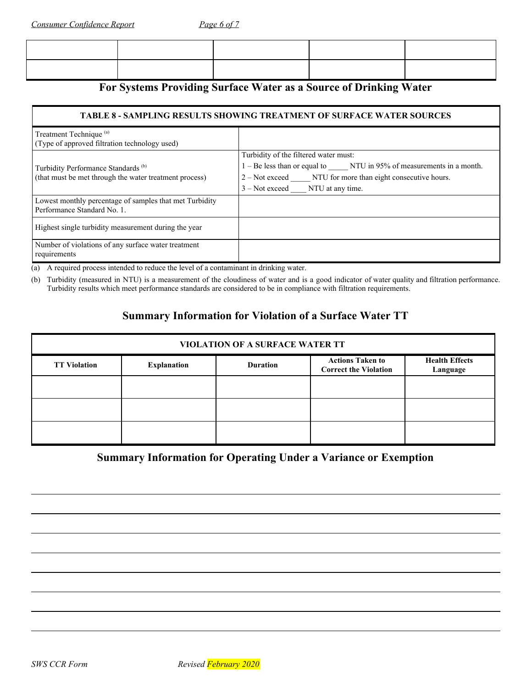| For Systems Providing Surface Water as a Source of Drinking Water |  |  |
|-------------------------------------------------------------------|--|--|

#### **TABLE 8 - SAMPLING RESULTS SHOWING TREATMENT OF SURFACE WATER SOURCES**

| Treatment Technique <sup>(a)</sup><br>(Type of approved filtration technology used)    |                                                                     |
|----------------------------------------------------------------------------------------|---------------------------------------------------------------------|
|                                                                                        | Turbidity of the filtered water must:                               |
| Turbidity Performance Standards <sup>(b)</sup>                                         | 1 – Be less than or equal to NTU in 95% of measurements in a month. |
| (that must be met through the water treatment process)                                 | 2 – Not exceed NTU for more than eight consecutive hours.           |
|                                                                                        | $3 - Not exceed$ NTU at any time.                                   |
| Lowest monthly percentage of samples that met Turbidity<br>Performance Standard No. 1. |                                                                     |
| Highest single turbidity measurement during the year                                   |                                                                     |
| Number of violations of any surface water treatment<br>requirements                    |                                                                     |

(a) A required process intended to reduce the level of a contaminant in drinking water.

(b) Turbidity (measured in NTU) is a measurement of the cloudiness of water and is a good indicator of water quality and filtration performance. Turbidity results which meet performance standards are considered to be in compliance with filtration requirements.

### **Summary Information for Violation of a Surface Water TT**

| <b>VIOLATION OF A SURFACE WATER TT</b> |                                                                                                                                       |  |  |  |  |  |  |
|----------------------------------------|---------------------------------------------------------------------------------------------------------------------------------------|--|--|--|--|--|--|
| <b>TT Violation</b>                    | <b>Actions Taken to</b><br><b>Health Effects</b><br><b>Explanation</b><br><b>Duration</b><br><b>Correct the Violation</b><br>Language |  |  |  |  |  |  |
|                                        |                                                                                                                                       |  |  |  |  |  |  |
|                                        |                                                                                                                                       |  |  |  |  |  |  |
|                                        |                                                                                                                                       |  |  |  |  |  |  |

### **Summary Information for Operating Under a Variance or Exemption**